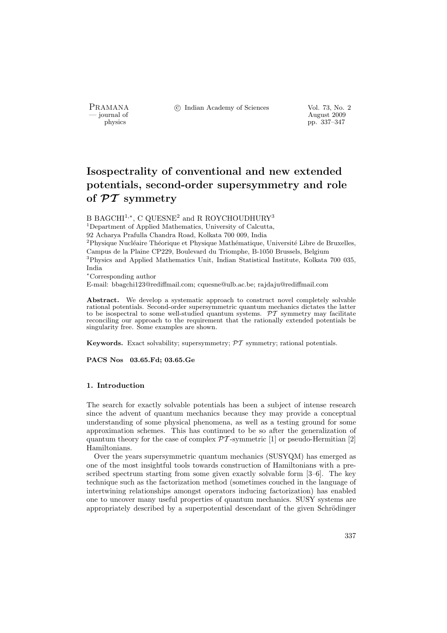PRAMANA °c Indian Academy of Sciences Vol. 73, No. 2

physics and the contract of the contract of the contract 2009 physics and the contract of the contract 2009 pp. 337–347 physics pp. 337–347

# Isospectrality of conventional and new extended potentials, second-order supersymmetry and role of  $\mathcal{PT}$  symmetry

B BAGCHI<sup>1,\*</sup>, C QUESNE<sup>2</sup> and R ROYCHOUDHURY<sup>3</sup>

<sup>1</sup>Department of Applied Mathematics, University of Calcutta,

92 Acharya Prafulla Chandra Road, Kolkata 700 009, India

 $2P$ hysique Nucléaire Théorique et Physique Mathématique, Université Libre de Bruxelles, Campus de la Plaine CP229, Boulevard du Triomphe, B-1050 Brussels, Belgium

<sup>3</sup>Physics and Applied Mathematics Unit, Indian Statistical Institute, Kolkata 700 035, India

<sup>∗</sup>Corresponding author

E-mail: bbagchi123@rediffmail.com; cquesne@ulb.ac.be; rajdaju@rediffmail.com

Abstract. We develop a systematic approach to construct novel completely solvable rational potentials. Second-order supersymmetric quantum mechanics dictates the latter to be isospectral to some well-studied quantum systems.  $\mathcal{PT}$  symmetry may facilitate reconciling our approach to the requirement that the rationally extended potentials be singularity free. Some examples are shown.

**Keywords.** Exact solvability; supersymmetry;  $\mathcal{PT}$  symmetry; rational potentials.

PACS Nos 03.65.Fd; 03.65.Ge

#### 1. Introduction

The search for exactly solvable potentials has been a subject of intense research since the advent of quantum mechanics because they may provide a conceptual understanding of some physical phenomena, as well as a testing ground for some approximation schemes. This has continued to be so after the generalization of quantum theory for the case of complex  $\mathcal{PT}$ -symmetric [1] or pseudo-Hermitian [2] Hamiltonians.

Over the years supersymmetric quantum mechanics (SUSYQM) has emerged as one of the most insightful tools towards construction of Hamiltonians with a prescribed spectrum starting from some given exactly solvable form [3–6]. The key technique such as the factorization method (sometimes couched in the language of intertwining relationships amongst operators inducing factorization) has enabled one to uncover many useful properties of quantum mechanics. SUSY systems are appropriately described by a superpotential descendant of the given Schrödinger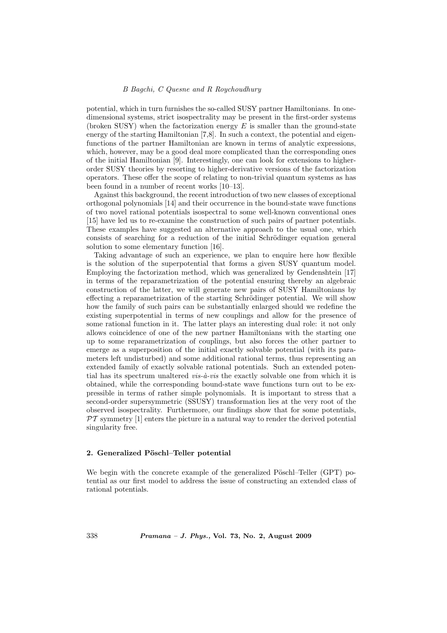potential, which in turn furnishes the so-called SUSY partner Hamiltonians. In onedimensional systems, strict isospectrality may be present in the first-order systems (broken SUSY) when the factorization energy  $E$  is smaller than the ground-state energy of the starting Hamiltonian [7,8]. In such a context, the potential and eigenfunctions of the partner Hamiltonian are known in terms of analytic expressions, which, however, may be a good deal more complicated than the corresponding ones of the initial Hamiltonian [9]. Interestingly, one can look for extensions to higherorder SUSY theories by resorting to higher-derivative versions of the factorization operators. These offer the scope of relating to non-trivial quantum systems as has been found in a number of recent works [10–13].

Against this background, the recent introduction of two new classes of exceptional orthogonal polynomials [14] and their occurrence in the bound-state wave functions of two novel rational potentials isospectral to some well-known conventional ones [15] have led us to re-examine the construction of such pairs of partner potentials. These examples have suggested an alternative approach to the usual one, which consists of searching for a reduction of the initial Schrödinger equation general solution to some elementary function [16].

Taking advantage of such an experience, we plan to enquire here how flexible is the solution of the superpotential that forms a given SUSY quantum model. Employing the factorization method, which was generalized by Gendenshtein [17] in terms of the reparametrization of the potential ensuring thereby an algebraic construction of the latter, we will generate new pairs of SUSY Hamiltonians by effecting a reparametrization of the starting Schrödinger potential. We will show how the family of such pairs can be substantially enlarged should we redefine the existing superpotential in terms of new couplings and allow for the presence of some rational function in it. The latter plays an interesting dual role: it not only allows coincidence of one of the new partner Hamiltonians with the starting one up to some reparametrization of couplings, but also forces the other partner to emerge as a superposition of the initial exactly solvable potential (with its parameters left undisturbed) and some additional rational terms, thus representing an extended family of exactly solvable rational potentials. Such an extended potential has its spectrum unaltered  $vis-\hat{a}-vis$  the exactly solvable one from which it is obtained, while the corresponding bound-state wave functions turn out to be expressible in terms of rather simple polynomials. It is important to stress that a second-order supersymmetric (SSUSY) transformation lies at the very root of the observed isospectrality. Furthermore, our findings show that for some potentials,  $PT$  symmetry  $[1]$  enters the picture in a natural way to render the derived potential singularity free.

# 2. Generalized Pöschl–Teller potential

We begin with the concrete example of the generalized Pöschl–Teller (GPT) potential as our first model to address the issue of constructing an extended class of rational potentials.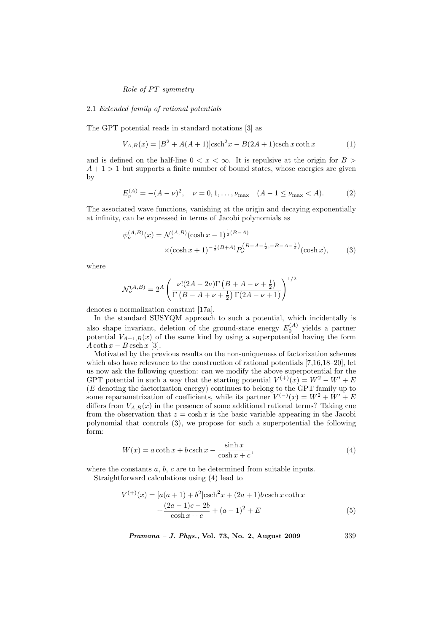#### 2.1 Extended family of rational potentials

The GPT potential reads in standard notations [3] as

$$
V_{A,B}(x) = [B^2 + A(A+1)]\text{csch}^2 x - B(2A+1)\text{csch} x \coth x \tag{1}
$$

and is defined on the half-line  $0 < x < \infty$ . It is repulsive at the origin for  $B >$  $A + 1 > 1$  but supports a finite number of bound states, whose energies are given by

$$
E_{\nu}^{(A)} = -(A - \nu)^2, \quad \nu = 0, 1, \dots, \nu_{\text{max}} \quad (A - 1 \le \nu_{\text{max}} < A). \tag{2}
$$

The associated wave functions, vanishing at the origin and decaying exponentially at infinity, can be expressed in terms of Jacobi polynomials as

$$
\psi_{\nu}^{(A,B)}(x) = \mathcal{N}_{\nu}^{(A,B)}(\cosh x - 1)^{\frac{1}{2}(B-A)} \times (\cosh x + 1)^{-\frac{1}{2}(B+A)} P_{\nu}^{(B-A-\frac{1}{2}, -B-A-\frac{1}{2})}(\cosh x), \tag{3}
$$

where

$$
\mathcal{N}_{\nu}^{(A,B)} = 2^A \left( \frac{\nu!(2A - 2\nu)\Gamma\left(B + A - \nu + \frac{1}{2}\right)}{\Gamma\left(B - A + \nu + \frac{1}{2}\right)\Gamma(2A - \nu + 1)} \right)^{1/2}
$$

denotes a normalization constant [17a].

In the standard SUSYQM approach to such a potential, which incidentally is also shape invariant, deletion of the ground-state energy  $E_0^{(A)}$  yields a partner potential  $V_{A-1,B}(x)$  of the same kind by using a superpotential having the form  $A \coth x - B \operatorname{csch} x$  [3].

Motivated by the previous results on the non-uniqueness of factorization schemes which also have relevance to the construction of rational potentials [7,16,18–20], let us now ask the following question: can we modify the above superpotential for the GPT potential in such a way that the starting potential  $V^{(+)}(x) = W^2 - W' + E$ (E denoting the factorization energy) continues to belong to the GPT family up to some reparametrization of coefficients, while its partner  $V^{(-)}(x) = W^2 + W' + E$ differs from  $V_{A,B}(x)$  in the presence of some additional rational terms? Taking cue from the observation that  $z = \cosh x$  is the basic variable appearing in the Jacobi polynomial that controls (3), we propose for such a superpotential the following form:

$$
W(x) = a \coth x + b \operatorname{csch} x - \frac{\sinh x}{\cosh x + c},\tag{4}
$$

where the constants  $a, b, c$  are to be determined from suitable inputs.

Straightforward calculations using (4) lead to

$$
V^{(+)}(x) = [a(a+1) + b2]\operatorname{csch}^{2} x + (2a+1)b \operatorname{csch} x \operatorname{coth} x + \frac{(2a-1)c - 2b}{\cosh x + c} + (a-1)^{2} + E
$$
 (5)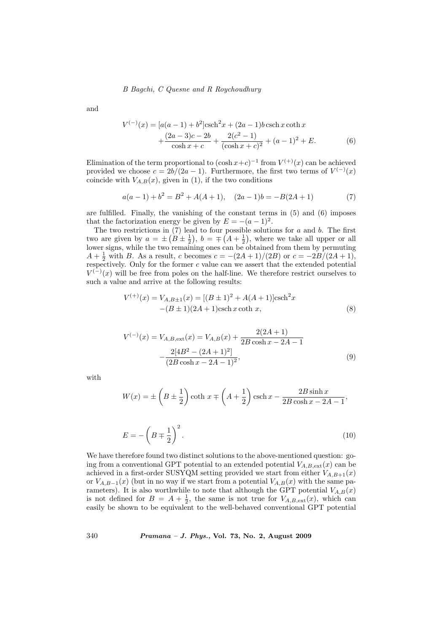and

$$
V^{(-)}(x) = [a(a-1) + b^2] \operatorname{csch}^2 x + (2a-1)b \operatorname{csch} x \operatorname{coth} x + \frac{(2a-3)c - 2b}{\cosh x + c} + \frac{2(c^2 - 1)}{(\cosh x + c)^2} + (a-1)^2 + E.
$$
 (6)

Elimination of the term proportional to  $(\cosh x + c)^{-1}$  from  $V^{(+)}(x)$  can be achieved provided we choose  $c = 2b/(2a - 1)$ . Furthermore, the first two terms of  $V^{(-)}(x)$ coincide with  $V_{A,B}(x)$ , given in (1), if the two conditions

$$
a(a-1) + b2 = B2 + A(A + 1), (2a - 1)b = -B(2A + 1)
$$
 (7)

are fulfilled. Finally, the vanishing of the constant terms in  $(5)$  and  $(6)$  imposes that the factorization energy be given by  $E = -(a-1)^2$ .

The two restrictions in  $(7)$  lead to four possible solutions for a and b. The first two are given by  $a = \pm (B \pm \frac{1}{2}), b = \mp (A + \frac{1}{2}),$  where we take all upper or all lower signs, while the two remaining ones can be obtained from them by permuting  $A + \frac{1}{2}$  with B. As a result, c becomes  $c = -(2A + 1)/(2B)$  or  $c = -2B/(2A + 1)$ , respectively. Only for the former  $c$  value can we assert that the extended potential  $V^{(-)}(x)$  will be free from poles on the half-line. We therefore restrict ourselves to such a value and arrive at the following results:

$$
V^{(+)}(x) = V_{A,B\pm 1}(x) = [(B \pm 1)^{2} + A(A+1)]\text{csch}^{2}x
$$
  
-(B \pm 1)(2A+1)\text{csch}x \coth x, (8)

$$
V^{(-)}(x) = V_{A,B,\text{ext}}(x) = V_{A,B}(x) + \frac{2(2A+1)}{2B\cosh x - 2A - 1} - \frac{2[4B^2 - (2A+1)^2]}{(2B\cosh x - 2A - 1)^2},
$$
\n(9)

with

$$
W(x) = \pm \left(B \pm \frac{1}{2}\right) \coth x \mp \left(A + \frac{1}{2}\right) \operatorname{csch} x - \frac{2B \sinh x}{2B \cosh x - 2A - 1},
$$

$$
E = -\left(B \mp \frac{1}{2}\right)^2. \tag{10}
$$

We have therefore found two distinct solutions to the above-mentioned question: going from a conventional GPT potential to an extended potential  $V_{A,B,\text{ext}}(x)$  can be achieved in a first-order SUSYQM setting provided we start from either  $V_{A,B+1}(x)$ or  $V_{A,B-1}(x)$  (but in no way if we start from a potential  $V_{A,B}(x)$  with the same parameters). It is also worthwhile to note that although the GPT potential  $V_{A,B}(x)$ is not defined for  $B = A + \frac{1}{2}$ , the same is not true for  $V_{A,B,\text{ext}}(x)$ , which can easily be shown to be equivalent to the well-behaved conventional GPT potential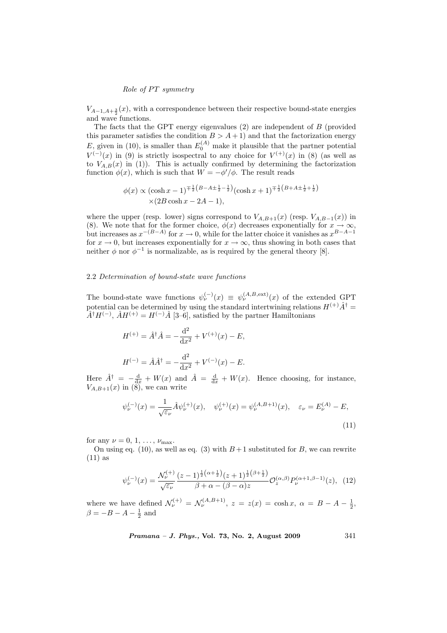$V_{A-1,A+\frac{3}{2}}(x)$ , with a correspondence between their respective bound-state energies and wave functions.

The facts that the GPT energy eigenvalues (2) are independent of B (provided this parameter satisfies the condition  $B > A + 1$  and that the factorization energy E, given in (10), is smaller than  $E_0^{(A)}$  make it plausible that the partner potential  $V^{(-)}(x)$  in (9) is strictly isospectral to any choice for  $V^{(+)}(x)$  in (8) (as well as to  $V_{A,B}(x)$  in (1)). This is actually confirmed by determining the factorization function  $\phi(x)$ , which is such that  $W = -\phi'/\phi$ . The result reads

$$
\phi(x) \propto (\cosh x - 1)^{\mp \frac{1}{2}(B - A \pm \frac{1}{2} - \frac{1}{2})} (\cosh x + 1)^{\mp \frac{1}{2}(B + A \pm \frac{1}{2} + \frac{1}{2})}
$$
  
×(2B cosh x - 2A - 1),

where the upper (resp. lower) signs correspond to  $V_{A,B+1}(x)$  (resp.  $V_{A,B-1}(x)$ ) in (8). We note that for the former choice,  $\phi(x)$  decreases exponentially for  $x \to \infty$ , but increases as  $x^{-(B-A)}$  for  $x \to 0$ , while for the latter choice it vanishes as  $x^{B-A-1}$ for  $x \to 0$ , but increases exponentially for  $x \to \infty$ , thus showing in both cases that neither  $\phi$  nor  $\phi^{-1}$  is normalizable, as is required by the general theory [8].

#### 2.2 Determination of bound-state wave functions

The bound-state wave functions  $\psi_{\nu}^{(-)}(x) \equiv \psi_{\nu}^{(A,B,\text{ext})}(x)$  of the extended GPT potential can be determined by using the standard intertwining relations  $H^{(+)}\hat{A}^{\dagger} =$  $\hat{A}^{\dagger}H^{(-)}$ ,  $\hat{A}H^{(+)}=H^{(-)}\hat{A}$  [3–6], satisfied by the partner Hamiltonians

$$
H^{(+)} = \hat{A}^{\dagger} \hat{A} = -\frac{d^2}{dx^2} + V^{(+)}(x) - E,
$$
  

$$
H^{(-)} = \hat{A} \hat{A}^{\dagger} = -\frac{d^2}{dx^2} + V^{(-)}(x) - E.
$$

Here  $\hat{A}^{\dagger} = -\frac{d}{dx} + W(x)$  and  $\hat{A} = \frac{d}{dx} + W(x)$ . Hence choosing, for instance,  $V_{A,B+1}(x)$  in  $(\overline{8})$ , we can write

$$
\psi_{\nu}^{(-)}(x) = \frac{1}{\sqrt{\varepsilon_{\nu}}} \hat{A} \psi_{\nu}^{(+)}(x), \quad \psi_{\nu}^{(+)}(x) = \psi_{\nu}^{(A,B+1)}(x), \quad \varepsilon_{\nu} = E_{\nu}^{(A)} - E,
$$
\n(11)

for any  $\nu = 0, 1, \ldots, \nu_{\text{max}}$ .

On using eq. (10), as well as eq. (3) with  $B+1$  substituted for B, we can rewrite  $(11)$  as

$$
\psi_{\nu}^{(-)}(x) = \frac{\mathcal{N}_{\nu}^{(+)}(z-1)^{\frac{1}{2}(\alpha+\frac{1}{2})}(z+1)^{\frac{1}{2}(\beta+\frac{1}{2})}}{\beta+\alpha-(\beta-\alpha)z} \mathcal{O}_z^{(\alpha,\beta)} P_{\nu}^{(\alpha+1,\beta-1)}(z), \quad (12)
$$

where we have defined  $\mathcal{N}_{\nu}^{(+)} = \mathcal{N}_{\nu}^{(A,B+1)}$ ,  $z = z(x) = \cosh x$ ,  $\alpha = B - A - \frac{1}{2}$ ,  $\beta = -B - A - \frac{1}{2}$  and

Pramana – J. Phys., Vol. 73, No. 2, August 2009 341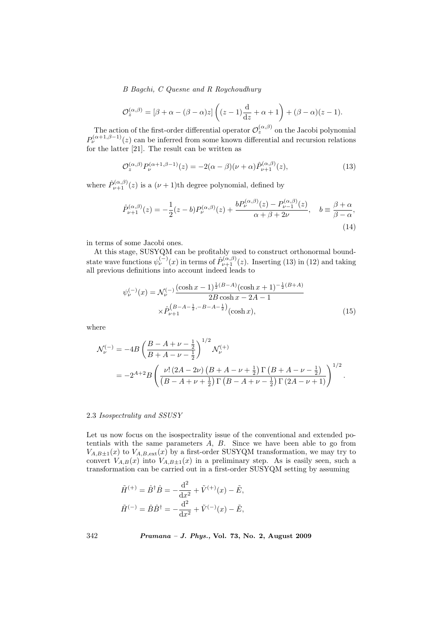$$
\mathcal{O}_z^{(\alpha,\beta)}=[\beta+\alpha-(\beta-\alpha)z]\left((z-1)\frac{\mathrm{d}}{\mathrm{d}z}+\alpha+1\right)+(\beta-\alpha)(z-1).
$$

The action of the first-order differential operator  $\mathcal{O}_z^{(\alpha,\beta)}$  on the Jacobi polynomial  $P_{\nu}^{(\alpha+1,\beta-1)}(z)$  can be inferred from some known differential and recursion relations for the latter [21]. The result can be written as

$$
\mathcal{O}_z^{(\alpha,\beta)} P_\nu^{(\alpha+1,\beta-1)}(z) = -2(\alpha-\beta)(\nu+\alpha)\hat{P}_{\nu+1}^{(\alpha,\beta)}(z),\tag{13}
$$

where  $\hat{P}_{\nu+1}^{(\alpha,\beta)}(z)$  is a  $(\nu+1)$ th degree polynomial, defined by

$$
\hat{P}_{\nu+1}^{(\alpha,\beta)}(z) = -\frac{1}{2}(z-b)P_{\nu}^{(\alpha,\beta)}(z) + \frac{bP_{\nu}^{(\alpha,\beta)}(z) - P_{\nu-1}^{(\alpha,\beta)}(z)}{\alpha + \beta + 2\nu}, \quad b \equiv \frac{\beta + \alpha}{\beta - \alpha},\tag{14}
$$

in terms of some Jacobi ones.

At this stage, SUSYQM can be profitably used to construct orthonormal boundstate wave functions  $\psi_{\nu}^{(-)}(x)$  in terms of  $\hat{P}_{\nu+1}^{(\alpha,\beta)}(z)$ . Inserting (13) in (12) and taking all previous definitions into account indeed leads to

$$
\psi_{\nu}^{(-)}(x) = \mathcal{N}_{\nu}^{(-)} \frac{(\cosh x - 1)^{\frac{1}{2}(B-A)}(\cosh x + 1)^{-\frac{1}{2}(B+A)}}{2B\cosh x - 2A - 1} \times \hat{P}_{\nu+1}^{(B-A-\frac{1}{2}, -B-A-\frac{1}{2})}(\cosh x), \tag{15}
$$

where

$$
\mathcal{N}_{\nu}^{(-)} = -4B \left( \frac{B - A + \nu - \frac{1}{2}}{B + A - \nu - \frac{1}{2}} \right)^{1/2} \mathcal{N}_{\nu}^{(+)} \n= -2^{A+2} B \left( \frac{\nu! (2A - 2\nu) (B + A - \nu + \frac{1}{2}) \Gamma (B + A - \nu - \frac{1}{2})}{(B - A + \nu + \frac{1}{2}) \Gamma (B - A + \nu - \frac{1}{2}) \Gamma (2A - \nu + 1)} \right)^{1/2}.
$$

# 2.3 Isospectrality and SSUSY

Let us now focus on the isospectrality issue of the conventional and extended potentials with the same parameters  $A$ ,  $B$ . Since we have been able to go from  $V_{A,B\pm1}(x)$  to  $V_{A,B,\text{ext}}(x)$  by a first-order SUSYQM transformation, we may try to convert  $V_{A,B}(x)$  into  $V_{A,B\pm 1}(x)$  in a preliminary step. As is easily seen, such a transformation can be carried out in a first-order SUSYQM setting by assuming

$$
\tilde{H}^{(+)} = \hat{B}^{\dagger} \hat{B} = -\frac{\mathrm{d}^2}{\mathrm{d}x^2} + \tilde{V}^{(+)}(x) - \tilde{E},
$$
  

$$
\tilde{H}^{(-)} = \hat{B}\hat{B}^{\dagger} = -\frac{\mathrm{d}^2}{\mathrm{d}x^2} + \tilde{V}^{(-)}(x) - \tilde{E},
$$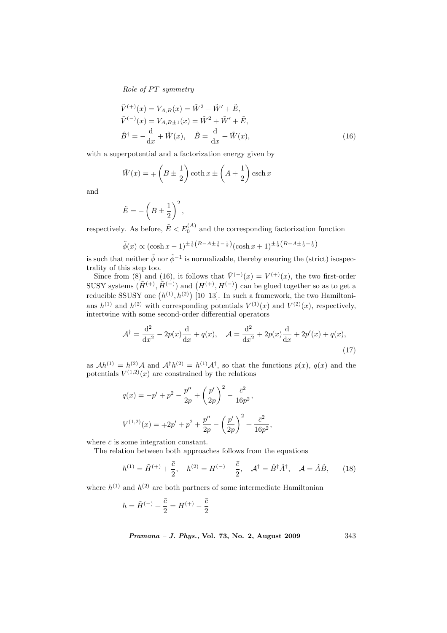$$
\tilde{V}^{(+)}(x) = V_{A,B}(x) = \tilde{W}^2 - \tilde{W}' + \tilde{E}, \n\tilde{V}^{(-)}(x) = V_{A,B\pm 1}(x) = \tilde{W}^2 + \tilde{W}' + \tilde{E}, \n\hat{B}^{\dagger} = -\frac{d}{dx} + \tilde{W}(x), \quad \hat{B} = \frac{d}{dx} + \tilde{W}(x),
$$
\n(16)

with a superpotential and a factorization energy given by

$$
\tilde{W}(x) = \mp \left(B \pm \frac{1}{2}\right) \coth x \pm \left(A + \frac{1}{2}\right) \operatorname{csch} x
$$

and

$$
\tilde{E} = -\left(B \pm \frac{1}{2}\right)^2,
$$

respectively. As before,  $\tilde{E} < E_0^{(A)}$  and the corresponding factorization function

$$
\tilde{\phi}(x) \propto (\cosh x - 1)^{\pm \frac{1}{2}(B - A \pm \frac{1}{2} - \frac{1}{2})} (\cosh x + 1)^{\pm \frac{1}{2}(B + A \pm \frac{1}{2} + \frac{1}{2})}
$$

is such that neither  $\tilde{\phi}$  nor  $\tilde{\phi}^{-1}$  is normalizable, thereby ensuring the (strict) isospectrality of this step too.

Since from (8) and (16), it follows that  $\tilde{V}^{(-)}(x) = V^{(+)}(x)$ , the two first-order SINCE IFOIN (5) and (10), it follows that  $V^{\vee}(x) = V^{\vee\vee}(x)$ , the two first-order<br>SUSY systems  $(\tilde{H}^{(+)}, \tilde{H}^{(-)})$  and  $(H^{(+)}, H^{(-)})$  can be glued together so as to get a reducible SSUSY one  $(h^{(1)}, h^{(2)})$  [10–13]. In such a framework, the two Hamiltonians  $h^{(1)}$  and  $h^{(2)}$  with corresponding potentials  $V^{(1)}(x)$  and  $V^{(2)}(x)$ , respectively, intertwine with some second-order differential operators

$$
\mathcal{A}^{\dagger} = \frac{d^2}{dx^2} - 2p(x)\frac{d}{dx} + q(x), \quad \mathcal{A} = \frac{d^2}{dx^2} + 2p(x)\frac{d}{dx} + 2p'(x) + q(x),\tag{17}
$$

as  $Ah^{(1)} = h^{(2)}A$  and  $A^{\dagger}h^{(2)} = h^{(1)}A^{\dagger}$ , so that the functions  $p(x)$ ,  $q(x)$  and the potentials  $V^{(1,2)}(x)$  are constrained by the relations

$$
q(x) = -p' + p^2 - \frac{p''}{2p} + \left(\frac{p'}{2p}\right)^2 - \frac{\bar{c}^2}{16p^2},
$$
  

$$
V^{(1,2)}(x) = \mp 2p' + p^2 + \frac{p''}{2p} - \left(\frac{p'}{2p}\right)^2 + \frac{\bar{c}^2}{16p^2},
$$

where  $\bar{c}$  is some integration constant.

The relation between both approaches follows from the equations

$$
h^{(1)} = \tilde{H}^{(+)} + \frac{\bar{c}}{2}, \quad h^{(2)} = H^{(-)} - \frac{\bar{c}}{2}, \quad \mathcal{A}^{\dagger} = \hat{B}^{\dagger} \hat{A}^{\dagger}, \quad \mathcal{A} = \hat{A}\hat{B}, \qquad (18)
$$

where  $h^{(1)}$  and  $h^{(2)}$  are both partners of some intermediate Hamiltonian

$$
h = \tilde{H}^{(-)} + \frac{\bar{c}}{2} = H^{(+)} - \frac{\bar{c}}{2}
$$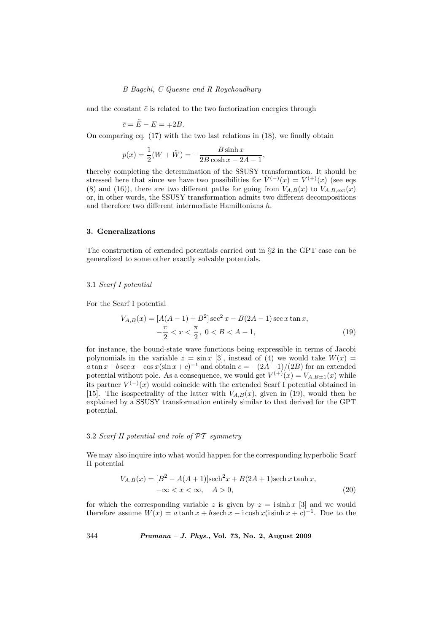and the constant  $\bar{c}$  is related to the two factorization energies through

$$
\bar{c} = \tilde{E} - E = \mp 2B.
$$

On comparing eq. (17) with the two last relations in (18), we finally obtain

$$
p(x) = \frac{1}{2}(W + \tilde{W}) = -\frac{B \sinh x}{2B \cosh x - 2A - 1},
$$

thereby completing the determination of the SSUSY transformation. It should be stressed here that since we have two possibilities for  $\tilde{V}^{(-)}(x) = V^{(+)}(x)$  (see eqs (8) and (16)), there are two different paths for going from  $V_{A,B}(x)$  to  $V_{A,B,ext}(x)$ or, in other words, the SSUSY transformation admits two different decompositions and therefore two different intermediate Hamiltonians h.

#### 3. Generalizations

The construction of extended potentials carried out in §2 in the GPT case can be generalized to some other exactly solvable potentials.

#### 3.1 Scarf I potential

For the Scarf I potential

$$
V_{A,B}(x) = [A(A-1) + B^2] \sec^2 x - B(2A-1) \sec x \tan x, -\frac{\pi}{2} < x < \frac{\pi}{2}, \ 0 < B < A-1,
$$
 (19)

for instance, the bound-state wave functions being expressible in terms of Jacobi polynomials in the variable  $z = \sin x$  [3], instead of (4) we would take  $W(x) =$  $a \tan x + b \sec x - \cos x (\sin x + c)^{-1}$  and obtain  $c = -(2A-1)/(2B)$  for an extended potential without pole. As a consequence, we would get  $V^{(+)}(x) = V_{A,B\pm 1}(x)$  while its partner  $V^{(-)}(x)$  would coincide with the extended Scarf I potential obtained in [15]. The isospectrality of the latter with  $V_{A,B}(x)$ , given in (19), would then be explained by a SSUSY transformation entirely similar to that derived for the GPT potential.

# 3.2 Scarf II potential and role of  $\mathcal{PT}$  symmetry

We may also inquire into what would happen for the corresponding hyperbolic Scarf II potential

$$
V_{A,B}(x) = [B^2 - A(A+1)]\text{sech}^2 x + B(2A+1)\text{sech } x \tanh x, -\infty < x < \infty, \quad A > 0,
$$
 (20)

for which the corresponding variable z is given by  $z = i \sinh x$  [3] and we would therefore assume  $W(x) = a \tanh x + b \sech x - i \cosh x (i \sinh x + c)^{-1}$ . Due to the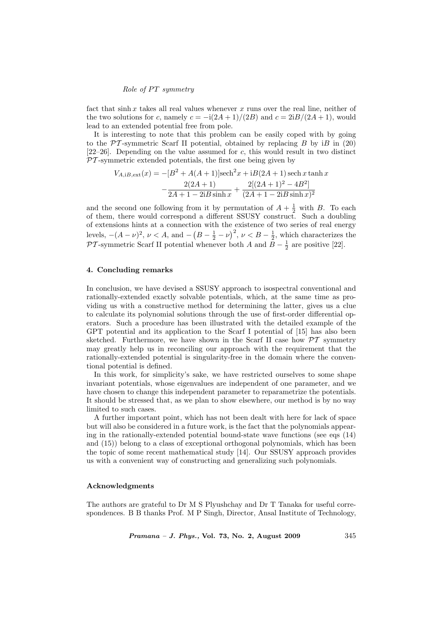fact that sinh x takes all real values whenever x runs over the real line, neither of the two solutions for c, namely  $c = -i(2A + 1)/(2B)$  and  $c = 2iB/(2A + 1)$ , would lead to an extended potential free from pole.

It is interesting to note that this problem can be easily coped with by going to the  $\mathcal{PT}$ -symmetric Scarf II potential, obtained by replacing B by iB in (20)  $[22-26]$ . Depending on the value assumed for c, this would result in two distinct  $PT$ -symmetric extended potentials, the first one being given by

$$
V_{A,iB,ext}(x) = -[B^2 + A(A+1)]\text{sech}^2 x + iB(2A+1)\text{sech }x\tanh x
$$

$$
-\frac{2(2A+1)}{2A+1 - 2iB\sinh x} + \frac{2[(2A+1)^2 - 4B^2]}{(2A+1 - 2iB\sinh x)^2}
$$

and the second one following from it by permutation of  $A + \frac{1}{2}$  with B. To each of them, there would correspond a different SSUSY construct. Such a doubling of extensions hints at a connection with the existence of two series of real energy levels,  $-(A - \nu)^2$ ,  $\nu < A$ , and  $-$ ں.<br>ے  $B-\frac{1}{2}-\nu$  $\left(\frac{2}{3}\right)^2$ ,  $\nu < B - \frac{1}{2}$ , which characterizes the  $\mathcal{PT}$ -symmetric Scarf II potential whenever both A and  $B-\frac{1}{2}$  are positive [22].

# 4. Concluding remarks

In conclusion, we have devised a SSUSY approach to isospectral conventional and rationally-extended exactly solvable potentials, which, at the same time as providing us with a constructive method for determining the latter, gives us a clue to calculate its polynomial solutions through the use of first-order differential operators. Such a procedure has been illustrated with the detailed example of the GPT potential and its application to the Scarf I potential of [15] has also been sketched. Furthermore, we have shown in the Scarf II case how  $\mathcal{PT}$  symmetry may greatly help us in reconciling our approach with the requirement that the rationally-extended potential is singularity-free in the domain where the conventional potential is defined.

In this work, for simplicity's sake, we have restricted ourselves to some shape invariant potentials, whose eigenvalues are independent of one parameter, and we have chosen to change this independent parameter to reparametrize the potentials. It should be stressed that, as we plan to show elsewhere, our method is by no way limited to such cases.

A further important point, which has not been dealt with here for lack of space but will also be considered in a future work, is the fact that the polynomials appearing in the rationally-extended potential bound-state wave functions (see eqs  $(14)$ ) and (15)) belong to a class of exceptional orthogonal polynomials, which has been the topic of some recent mathematical study [14]. Our SSUSY approach provides us with a convenient way of constructing and generalizing such polynomials.

# Acknowledgments

The authors are grateful to Dr M S Plyushchay and Dr T Tanaka for useful correspondences. B B thanks Prof. M P Singh, Director, Ansal Institute of Technology,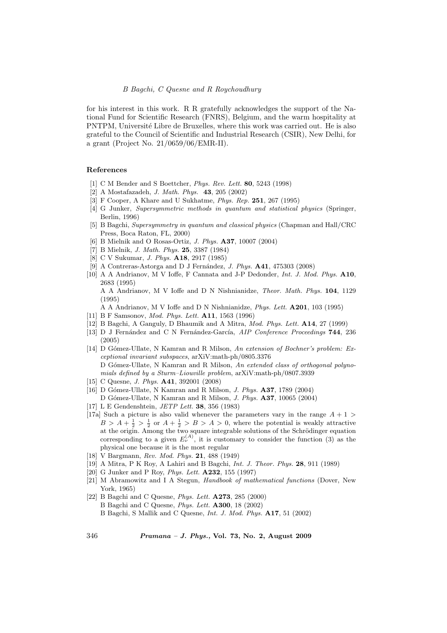for his interest in this work. R R gratefully acknowledges the support of the National Fund for Scientific Research (FNRS), Belgium, and the warm hospitality at PNTPM, Université Libre de Bruxelles, where this work was carried out. He is also grateful to the Council of Scientific and Industrial Research (CSIR), New Delhi, for a grant (Project No. 21/0659/06/EMR-II).

#### References

- [1] C M Bender and S Boettcher, Phys. Rev. Lett. 80, 5243 (1998)
- [2] A Mostafazadeh, J. Math. Phys. 43, 205 (2002)
- [3] F Cooper, A Khare and U Sukhatme, *Phys. Rep.* **251**, 267 (1995)
- [4] G Junker, Supersymmetric methods in quantum and statistical physics (Springer, Berlin, 1996)
- [5] B Bagchi, Supersymmetry in quantum and classical physics (Chapman and Hall/CRC Press, Boca Raton, FL, 2000)
- [6] B Mielnik and O Rosas-Ortiz, J. Phys. A37, 10007 (2004)
- [7] B Mielnik, J. Math. Phys. 25, 3387 (1984)
- [8] C V Sukumar, J. Phys. A18, 2917 (1985)
- [9] A Contreras-Astorga and D J Fernández, *J. Phys.* **A41**, 475303 (2008)
- [10] A A Andrianov, M V Ioffe, F Cannata and J-P Dedonder, Int. J. Mod. Phys. A10, 2683 (1995)

A A Andrianov, M V Ioffe and D N Nishnianidze, Theor. Math. Phys. 104, 1129 (1995)

A A Andrianov, M V Ioffe and D N Nishnianidze, Phys. Lett. A201, 103 (1995)

- [11] B F Samsonov, Mod. Phys. Lett. A11, 1563 (1996)
- [12] B Bagchi, A Ganguly, D Bhaumik and A Mitra, Mod. Phys. Lett. A14, 27 (1999)
- [13] D J Fernández and C N Fernández-García,  $AIP$  Conference Proceedings  $744$ , 236 (2005)
- [14] D Gómez-Ullate, N Kamran and R Milson, An extension of Bochner's problem: Exceptional invariant subspaces, arXiV:math-ph/0805.3376 D Gómez-Ullate, N Kamran and R Milson, An extended class of orthogonal polynomials defined by a Sturm–Liouville problem, arXiV:math-ph/0807.3939
- [15] C Quesne, J. Phys. A41, 392001 (2008)
- [16] D Gómez-Ullate, N Kamran and R Milson, *J. Phys.* **A37**, 1789 (2004)
	- D Gómez-Ullate, N Kamran and R Milson, J. Phys. A37, 10065 (2004)
- [17] L E Gendenshtein, JETP Lett. 38, 356 (1983)
- [17a] Such a picture is also valid whenever the parameters vary in the range  $A + 1$  $B > A + \frac{1}{2} > \frac{1}{2}$  or  $A + \frac{1}{2} > B > A > 0$ , where the potential is weakly attractive at the origin. Among the two square integrable solutions of the Schrödinger equation corresponding to a given  $E_{\nu}^{(A)}$ , it is customary to consider the function (3) as the physical one because it is the most regular
- [18] V Bargmann, Rev. Mod. Phys. 21, 488 (1949)
- [19] A Mitra, P K Roy, A Lahiri and B Bagchi, Int. J. Theor. Phys. 28, 911 (1989)
- [20] G Junker and P Roy, Phys. Lett. A232, 155 (1997)
- [21] M Abramowitz and I A Stegun, Handbook of mathematical functions (Dover, New York, 1965)
- [22] B Bagchi and C Quesne, Phys. Lett. A273, 285 (2000) B Bagchi and C Quesne, Phys. Lett. A300, 18 (2002) B Bagchi, S Mallik and C Quesne, Int. J. Mod. Phys. A17, 51 (2002)